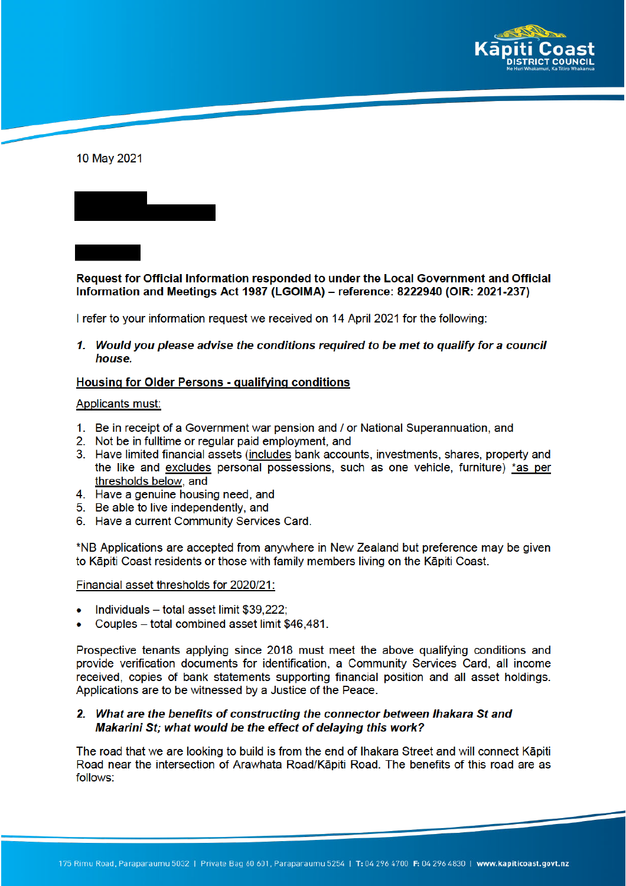

10 May 2021

Request for Official Information responded to under the Local Government and Official Information and Meetings Act 1987 (LGOIMA) – reference: 8222940 (OIR: 2021-237)

I refer to your information request we received on 14 April 2021 for the following:

1. Would you please advise the conditions required to be met to qualify for a council house.

## **Housing for Older Persons - qualifying conditions**

## Applicants must:

- 1. Be in receipt of a Government war pension and / or National Superannuation, and
- 2. Not be in fulltime or regular paid employment, and
- 3. Have limited financial assets (includes bank accounts, investments, shares, property and the like and excludes personal possessions, such as one vehicle, furniture) \*as per thresholds below, and
- 4. Have a genuine housing need, and
- 5. Be able to live independently, and
- 6. Have a current Community Services Card.

\*NB Applications are accepted from anywhere in New Zealand but preference may be given to Kāpiti Coast residents or those with family members living on the Kāpiti Coast.

## Financial asset thresholds for 2020/21:

- Individuals total asset limit \$39,222;
- Couples total combined asset limit \$46,481.

Prospective tenants applying since 2018 must meet the above qualifying conditions and provide verification documents for identification, a Community Services Card, all income received, copies of bank statements supporting financial position and all asset holdings. Applications are to be witnessed by a Justice of the Peace.

## 2. What are the benefits of constructing the connector between Ihakara St and Makarini St; what would be the effect of delaying this work?

The road that we are looking to build is from the end of Ihakara Street and will connect Kāpiti Road near the intersection of Arawhata Road/Kāpiti Road. The benefits of this road are as follows: